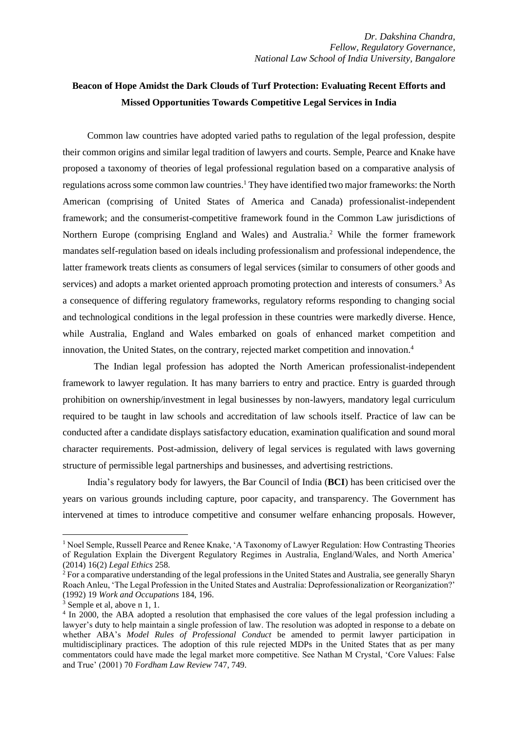## **Beacon of Hope Amidst the Dark Clouds of Turf Protection: Evaluating Recent Efforts and Missed Opportunities Towards Competitive Legal Services in India**

Common law countries have adopted varied paths to regulation of the legal profession, despite their common origins and similar legal tradition of lawyers and courts. Semple, Pearce and Knake have proposed a taxonomy of theories of legal professional regulation based on a comparative analysis of regulations across some common law countries.<sup>1</sup> They have identified two major frameworks: the North American (comprising of United States of America and Canada) professionalist-independent framework; and the consumerist-competitive framework found in the Common Law jurisdictions of Northern Europe (comprising England and Wales) and Australia.<sup>2</sup> While the former framework mandates self-regulation based on ideals including professionalism and professional independence, the latter framework treats clients as consumers of legal services (similar to consumers of other goods and services) and adopts a market oriented approach promoting protection and interests of consumers.<sup>3</sup> As a consequence of differing regulatory frameworks, regulatory reforms responding to changing social and technological conditions in the legal profession in these countries were markedly diverse. Hence, while Australia, England and Wales embarked on goals of enhanced market competition and innovation, the United States, on the contrary, rejected market competition and innovation.<sup>4</sup>

The Indian legal profession has adopted the North American professionalist-independent framework to lawyer regulation. It has many barriers to entry and practice. Entry is guarded through prohibition on ownership/investment in legal businesses by non-lawyers, mandatory legal curriculum required to be taught in law schools and accreditation of law schools itself. Practice of law can be conducted after a candidate displays satisfactory education, examination qualification and sound moral character requirements. Post-admission, delivery of legal services is regulated with laws governing structure of permissible legal partnerships and businesses, and advertising restrictions.

India's regulatory body for lawyers, the Bar Council of India (**BCI**) has been criticised over the years on various grounds including capture, poor capacity, and transparency. The Government has intervened at times to introduce competitive and consumer welfare enhancing proposals. However,

<sup>&</sup>lt;sup>1</sup> Noel Semple, Russell Pearce and Renee Knake, 'A Taxonomy of Lawyer Regulation: How Contrasting Theories of Regulation Explain the Divergent Regulatory Regimes in Australia, England/Wales, and North America' (2014) 16(2) *Legal Ethics* 258.

<sup>2</sup> For a comparative understanding of the legal professions in the United States and Australia, see generally Sharyn Roach Anleu, 'The Legal Profession in the United States and Australia: Deprofessionalization or Reorganization?' (1992) 19 *Work and Occupations* 184, 196.

<sup>3</sup> Semple et al, above n 1, 1.

<sup>&</sup>lt;sup>4</sup> In 2000, the ABA adopted a resolution that emphasised the core values of the legal profession including a lawyer's duty to help maintain a single profession of law. The resolution was adopted in response to a debate on whether ABA's *Model Rules of Professional Conduct* be amended to permit lawyer participation in multidisciplinary practices. The adoption of this rule rejected MDPs in the United States that as per many commentators could have made the legal market more competitive. See Nathan M Crystal, 'Core Values: False and True' (2001) 70 *Fordham Law Review* 747, 749.